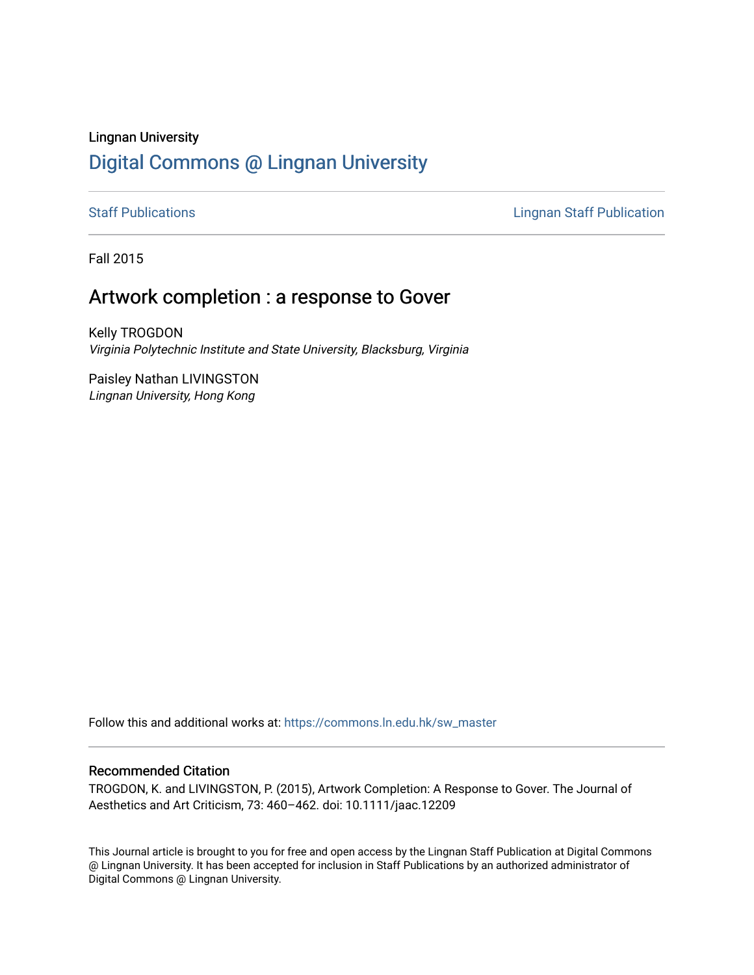## Lingnan University [Digital Commons @ Lingnan University](https://commons.ln.edu.hk/)

[Staff Publications](https://commons.ln.edu.hk/sw_master) **Staff Publications Lingnan Staff Publication** 

Fall 2015

## Artwork completion : a response to Gover

Kelly TROGDON Virginia Polytechnic Institute and State University, Blacksburg, Virginia

Paisley Nathan LIVINGSTON Lingnan University, Hong Kong

Follow this and additional works at: [https://commons.ln.edu.hk/sw\\_master](https://commons.ln.edu.hk/sw_master?utm_source=commons.ln.edu.hk%2Fsw_master%2F2624&utm_medium=PDF&utm_campaign=PDFCoverPages) 

## Recommended Citation

TROGDON, K. and LIVINGSTON, P. (2015), Artwork Completion: A Response to Gover. The Journal of Aesthetics and Art Criticism, 73: 460–462. doi: 10.1111/jaac.12209

This Journal article is brought to you for free and open access by the Lingnan Staff Publication at Digital Commons @ Lingnan University. It has been accepted for inclusion in Staff Publications by an authorized administrator of Digital Commons @ Lingnan University.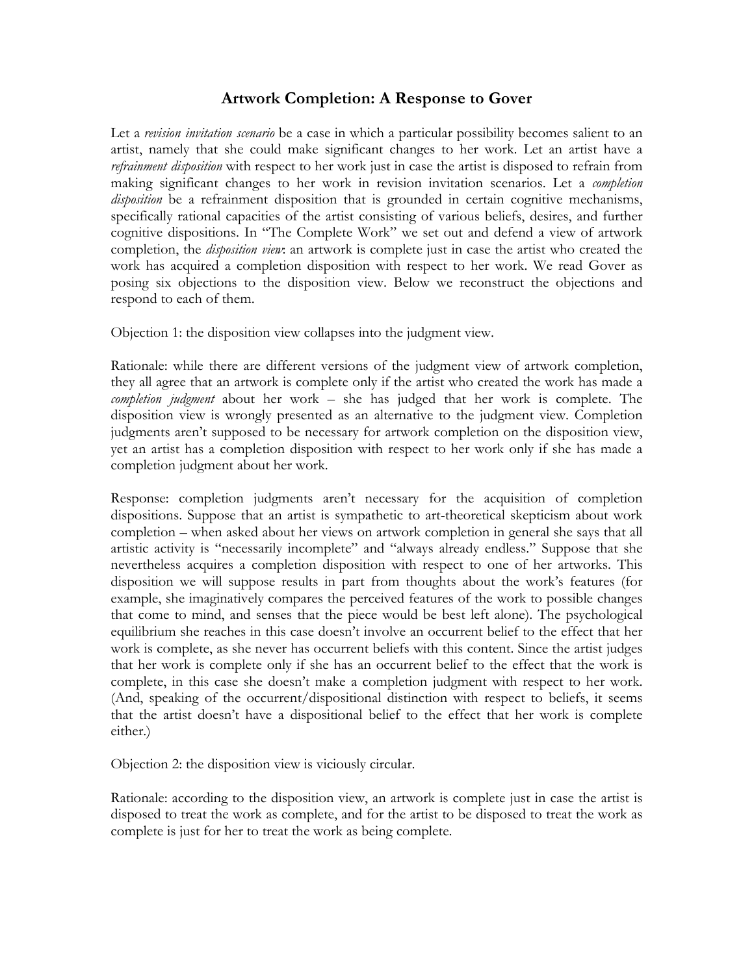## **Artwork Completion: A Response to Gover**

Let a *revision invitation scenario* be a case in which a particular possibility becomes salient to an artist, namely that she could make significant changes to her work. Let an artist have a *refrainment disposition* with respect to her work just in case the artist is disposed to refrain from making significant changes to her work in revision invitation scenarios. Let a *completion disposition* be a refrainment disposition that is grounded in certain cognitive mechanisms, specifically rational capacities of the artist consisting of various beliefs, desires, and further cognitive dispositions. In "The Complete Work" we set out and defend a view of artwork completion, the *disposition view*: an artwork is complete just in case the artist who created the work has acquired a completion disposition with respect to her work. We read Gover as posing six objections to the disposition view. Below we reconstruct the objections and respond to each of them.

Objection 1: the disposition view collapses into the judgment view.

Rationale: while there are different versions of the judgment view of artwork completion, they all agree that an artwork is complete only if the artist who created the work has made a *completion judgment* about her work – she has judged that her work is complete. The disposition view is wrongly presented as an alternative to the judgment view. Completion judgments aren't supposed to be necessary for artwork completion on the disposition view, yet an artist has a completion disposition with respect to her work only if she has made a completion judgment about her work.

Response: completion judgments aren't necessary for the acquisition of completion dispositions. Suppose that an artist is sympathetic to art-theoretical skepticism about work completion – when asked about her views on artwork completion in general she says that all artistic activity is "necessarily incomplete" and "always already endless." Suppose that she nevertheless acquires a completion disposition with respect to one of her artworks. This disposition we will suppose results in part from thoughts about the work's features (for example, she imaginatively compares the perceived features of the work to possible changes that come to mind, and senses that the piece would be best left alone). The psychological equilibrium she reaches in this case doesn't involve an occurrent belief to the effect that her work is complete, as she never has occurrent beliefs with this content. Since the artist judges that her work is complete only if she has an occurrent belief to the effect that the work is complete, in this case she doesn't make a completion judgment with respect to her work. (And, speaking of the occurrent/dispositional distinction with respect to beliefs, it seems that the artist doesn't have a dispositional belief to the effect that her work is complete either.)

Objection 2: the disposition view is viciously circular.

Rationale: according to the disposition view, an artwork is complete just in case the artist is disposed to treat the work as complete, and for the artist to be disposed to treat the work as complete is just for her to treat the work as being complete.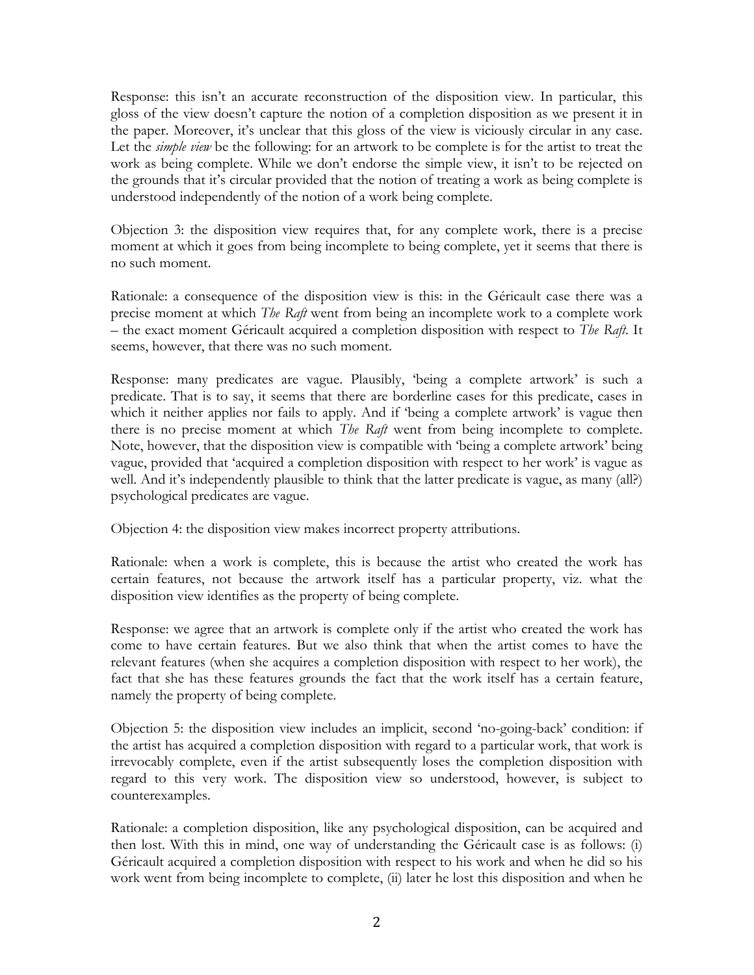Response: this isn't an accurate reconstruction of the disposition view. In particular, this gloss of the view doesn't capture the notion of a completion disposition as we present it in the paper. Moreover, it's unclear that this gloss of the view is viciously circular in any case. Let the *simple view* be the following: for an artwork to be complete is for the artist to treat the work as being complete. While we don't endorse the simple view, it isn't to be rejected on the grounds that it's circular provided that the notion of treating a work as being complete is understood independently of the notion of a work being complete.

Objection 3: the disposition view requires that, for any complete work, there is a precise moment at which it goes from being incomplete to being complete, yet it seems that there is no such moment.

Rationale: a consequence of the disposition view is this: in the Géricault case there was a precise moment at which *The Raft* went from being an incomplete work to a complete work – the exact moment Géricault acquired a completion disposition with respect to *The Raft*. It seems, however, that there was no such moment.

Response: many predicates are vague. Plausibly, 'being a complete artwork' is such a predicate. That is to say, it seems that there are borderline cases for this predicate, cases in which it neither applies nor fails to apply. And if 'being a complete artwork' is vague then there is no precise moment at which *The Raft* went from being incomplete to complete. Note, however, that the disposition view is compatible with 'being a complete artwork' being vague, provided that 'acquired a completion disposition with respect to her work' is vague as well. And it's independently plausible to think that the latter predicate is vague, as many (all?) psychological predicates are vague.

Objection 4: the disposition view makes incorrect property attributions.

Rationale: when a work is complete, this is because the artist who created the work has certain features, not because the artwork itself has a particular property, viz. what the disposition view identifies as the property of being complete.

Response: we agree that an artwork is complete only if the artist who created the work has come to have certain features. But we also think that when the artist comes to have the relevant features (when she acquires a completion disposition with respect to her work), the fact that she has these features grounds the fact that the work itself has a certain feature, namely the property of being complete.

Objection 5: the disposition view includes an implicit, second 'no-going-back' condition: if the artist has acquired a completion disposition with regard to a particular work, that work is irrevocably complete, even if the artist subsequently loses the completion disposition with regard to this very work. The disposition view so understood, however, is subject to counterexamples.

Rationale: a completion disposition, like any psychological disposition, can be acquired and then lost. With this in mind, one way of understanding the Géricault case is as follows: (i) Géricault acquired a completion disposition with respect to his work and when he did so his work went from being incomplete to complete, (ii) later he lost this disposition and when he